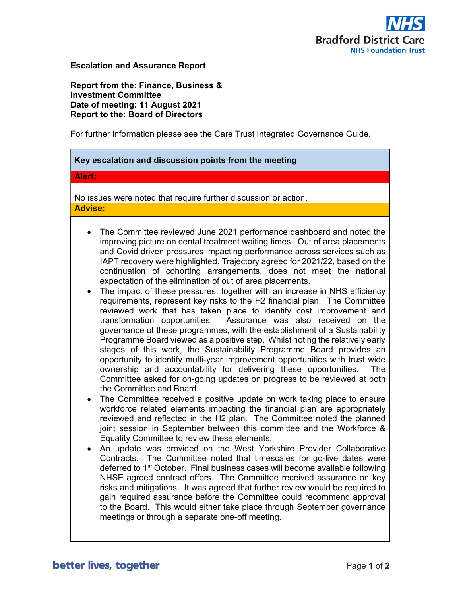

## Escalation and Assurance Report

Report from the: Finance, Business & Investment Committee Date of meeting: 11 August 2021 Report to the: Board of Directors

For further information please see the Care Trust Integrated Governance Guide.

| Key escalation and discussion points from the meeting                                                                                                                                                                                                                                                                                                                                                                                                                                                                                                                                                                                                                                                                                                                                                                                                                                                                                                                                                                                                                                                                                                                                                                                                                                                                                                                                                                                                                                                                                                                                                                                                                                                                                                                                                                                                                                                                                                                                                                                                                                                                                                                                                                                                                                       |
|---------------------------------------------------------------------------------------------------------------------------------------------------------------------------------------------------------------------------------------------------------------------------------------------------------------------------------------------------------------------------------------------------------------------------------------------------------------------------------------------------------------------------------------------------------------------------------------------------------------------------------------------------------------------------------------------------------------------------------------------------------------------------------------------------------------------------------------------------------------------------------------------------------------------------------------------------------------------------------------------------------------------------------------------------------------------------------------------------------------------------------------------------------------------------------------------------------------------------------------------------------------------------------------------------------------------------------------------------------------------------------------------------------------------------------------------------------------------------------------------------------------------------------------------------------------------------------------------------------------------------------------------------------------------------------------------------------------------------------------------------------------------------------------------------------------------------------------------------------------------------------------------------------------------------------------------------------------------------------------------------------------------------------------------------------------------------------------------------------------------------------------------------------------------------------------------------------------------------------------------------------------------------------------------|
| Alert:                                                                                                                                                                                                                                                                                                                                                                                                                                                                                                                                                                                                                                                                                                                                                                                                                                                                                                                                                                                                                                                                                                                                                                                                                                                                                                                                                                                                                                                                                                                                                                                                                                                                                                                                                                                                                                                                                                                                                                                                                                                                                                                                                                                                                                                                                      |
| No issues were noted that require further discussion or action.                                                                                                                                                                                                                                                                                                                                                                                                                                                                                                                                                                                                                                                                                                                                                                                                                                                                                                                                                                                                                                                                                                                                                                                                                                                                                                                                                                                                                                                                                                                                                                                                                                                                                                                                                                                                                                                                                                                                                                                                                                                                                                                                                                                                                             |
| <b>Advise:</b>                                                                                                                                                                                                                                                                                                                                                                                                                                                                                                                                                                                                                                                                                                                                                                                                                                                                                                                                                                                                                                                                                                                                                                                                                                                                                                                                                                                                                                                                                                                                                                                                                                                                                                                                                                                                                                                                                                                                                                                                                                                                                                                                                                                                                                                                              |
| The Committee reviewed June 2021 performance dashboard and noted the<br>$\bullet$<br>improving picture on dental treatment waiting times. Out of area placements<br>and Covid driven pressures impacting performance across services such as<br>IAPT recovery were highlighted. Trajectory agreed for 2021/22, based on the<br>continuation of cohorting arrangements, does not meet the national<br>expectation of the elimination of out of area placements.<br>The impact of these pressures, together with an increase in NHS efficiency<br>$\bullet$<br>requirements, represent key risks to the H2 financial plan. The Committee<br>reviewed work that has taken place to identify cost improvement and<br>transformation opportunities. Assurance was also received on the<br>governance of these programmes, with the establishment of a Sustainability<br>Programme Board viewed as a positive step. Whilst noting the relatively early<br>stages of this work, the Sustainability Programme Board provides an<br>opportunity to identify multi-year improvement opportunities with trust wide<br>ownership and accountability for delivering these opportunities.<br>The<br>Committee asked for on-going updates on progress to be reviewed at both<br>the Committee and Board.<br>The Committee received a positive update on work taking place to ensure<br>$\bullet$<br>workforce related elements impacting the financial plan are appropriately<br>reviewed and reflected in the H2 plan. The Committee noted the planned<br>joint session in September between this committee and the Workforce &<br>Equality Committee to review these elements.<br>An update was provided on the West Yorkshire Provider Collaborative<br>$\bullet$<br>Contracts. The Committee noted that timescales for go-live dates were<br>deferred to 1 <sup>st</sup> October. Final business cases will become available following<br>NHSE agreed contract offers. The Committee received assurance on key<br>risks and mitigations. It was agreed that further review would be required to<br>gain required assurance before the Committee could recommend approval<br>to the Board. This would either take place through September governance<br>meetings or through a separate one-off meeting. |